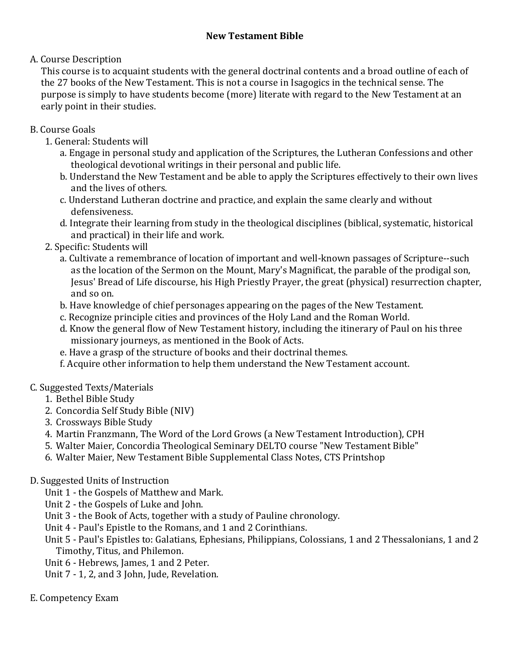A. Course Description

This course is to acquaint students with the general doctrinal contents and a broad outline of each of the 27 books of the New Testament. This is not a course in Isagogics in the technical sense. The purpose is simply to have students become (more) literate with regard to the New Testament at an early point in their studies.

- B. Course Goals
	- 1. General: Students will
		- a. Engage in personal study and application of the Scriptures, the Lutheran Confessions and other theological devotional writings in their personal and public life.
		- b. Understand the New Testament and be able to apply the Scriptures effectively to their own lives and the lives of others.
		- c. Understand Lutheran doctrine and practice, and explain the same clearly and without defensiveness.
		- d. Integrate their learning from study in the theological disciplines (biblical, systematic, historical and practical) in their life and work.
	- 2. Specific: Students will
		- a. Cultivate a remembrance of location of important and well-known passages of Scripture--such as the location of the Sermon on the Mount, Mary's Magnificat, the parable of the prodigal son, Jesus' Bread of Life discourse, his High Priestly Prayer, the great (physical) resurrection chapter, and so on.
		- b. Have knowledge of chief personages appearing on the pages of the New Testament.
		- c. Recognize principle cities and provinces of the Holy Land and the Roman World.
		- d. Know the general flow of New Testament history, including the itinerary of Paul on his three missionary journeys, as mentioned in the Book of Acts.
		- e. Have a grasp of the structure of books and their doctrinal themes.
		- f. Acquire other information to help them understand the New Testament account.
- C. Suggested Texts/Materials
	- 1. Bethel Bible Study
	- 2. Concordia Self Study Bible (NIV)
	- 3. Crossways Bible Study
	- 4. Martin Franzmann, The Word of the Lord Grows (a New Testament Introduction), CPH
	- 5. Walter Maier, Concordia Theological Seminary DELTO course "New Testament Bible"
	- 6. Walter Maier, New Testament Bible Supplemental Class Notes, CTS Printshop
- D. Suggested Units of Instruction
	- Unit 1 the Gospels of Matthew and Mark.
	- Unit 2 the Gospels of Luke and John.
	- Unit 3 the Book of Acts, together with a study of Pauline chronology.
	- Unit 4 Paul's Epistle to the Romans, and 1 and 2 Corinthians.
	- Unit 5 Paul's Epistles to: Galatians, Ephesians, Philippians, Colossians, 1 and 2 Thessalonians, 1 and 2 Timothy, Titus, and Philemon.
	- Unit 6 Hebrews, James, 1 and 2 Peter.
	- Unit 7 1, 2, and 3 John, Jude, Revelation.
- E. Competency Exam